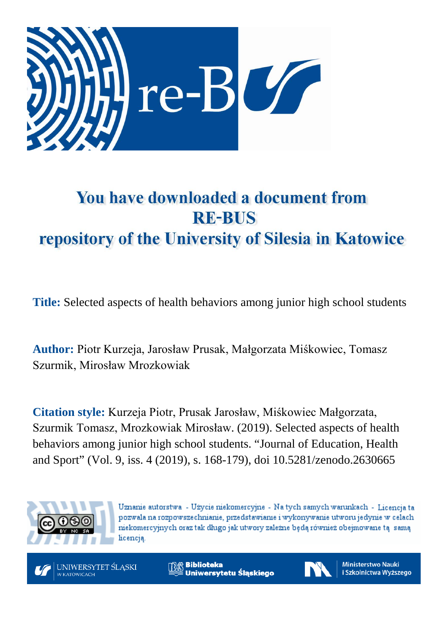

# You have downloaded a document from **RE-BUS** repository of the University of Silesia in Katowice

**Title:** Selected aspects of health behaviors among junior high school students

**Author:** Piotr Kurzeja, Jarosław Prusak, Małgorzata Miśkowiec, Tomasz Szurmik, Mirosław Mrozkowiak

**Citation style:** Kurzeja Piotr, Prusak Jarosław, Miśkowiec Małgorzata, Szurmik Tomasz, Mrozkowiak Mirosław. (2019). Selected aspects of health behaviors among junior high school students. "Journal of Education, Health and Sport" (Vol. 9, iss. 4 (2019), s. 168-179), doi 10.5281/zenodo.2630665



Uznanie autorstwa - Użycie niekomercyjne - Na tych samych warunkach - Licencja ta pozwala na rozpowszechnianie, przedstawianie i wykonywanie utworu jedynie w celach niekomercyjnych oraz tak długo jak utwory zależne będą również obejmowane tą samą licencją.

UNIWERSYTET ŚLASKI **W KATOWICACH** 

**Biblioteka** Uniwersytetu Śląskiego

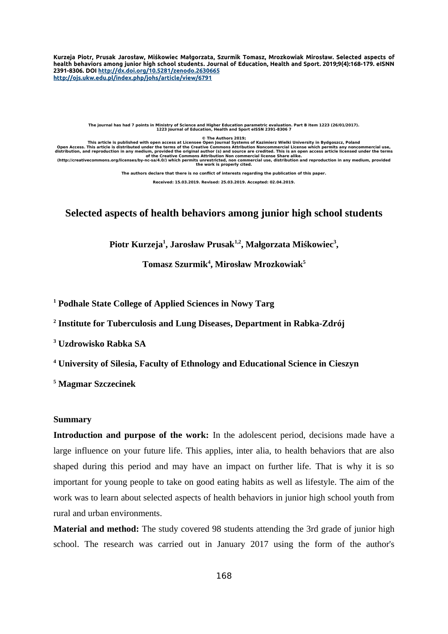**Kurzeja Piotr, Prusak Jarosław, Miśkowiec Małgorzata, Szurmik Tomasz, Mrozkowiak Mirosław. Selected aspects of health behaviors among junior high school students. Journal of Education, Health and Sport. 2019;9(4):168-179. eISNN 2391-8306. DOI [http://dx.doi.org/10.5281/zenodo . 2630665](http://dx.doi.org/10.5281/zenodo.2630665) <http://ojs.ukw.edu.pl/index.php/johs/article/view/6791>**

**The journal has had 7 points in Ministry of Science and Higher Education parametric evaluation. Part B item 1223 (26/01/2017). 1223 Journal of Education, Health and Sport eISSN 2391-8306 7**

**© The Authors 2019;**

**This article is published with open access at Licensee Open Journal Systems of Kazimierz Wielki University in Bydgoszcz, Poland** Open Access. This article is distributed under the terms of the Creative Commons Attribution Noncommercial use,<br>distribution, and reproduction in any medium, provided the original author (s) and source are credited. This i

**The authors declare that there is no conflict of interests regarding the publication of this paper.**

**Received: 15.03.2019. Revised: 25.03.2019. Accepted: 02.04.2019.**

# **Selected aspects of health behaviors among junior high school students**

**Piotr Kurzeja<sup>1</sup> , Jarosław Prusak1,2, Małgorzata Miśkowiec<sup>3</sup> ,** 

**Tomasz Szurmik<sup>4</sup> , Mirosław Mrozkowiak<sup>5</sup>**

**<sup>1</sup> Podhale State College of Applied Sciences in Nowy Targ**

**2 Institute for Tuberculosis and Lung Diseases, Department in Rabka-Zdrój**

**3 Uzdrowisko Rabka SA**

**<sup>4</sup> University of Silesia, Faculty of Ethnology and Educational Science in Cieszyn**

**5 Magmar Szczecinek**

# **Summary**

**Introduction and purpose of the work:** In the adolescent period, decisions made have a large influence on your future life. This applies, inter alia, to health behaviors that are also shaped during this period and may have an impact on further life. That is why it is so important for young people to take on good eating habits as well as lifestyle. The aim of the work was to learn about selected aspects of health behaviors in junior high school youth from rural and urban environments.

**Material and method:** The study covered 98 students attending the 3rd grade of junior high school. The research was carried out in January 2017 using the form of the author's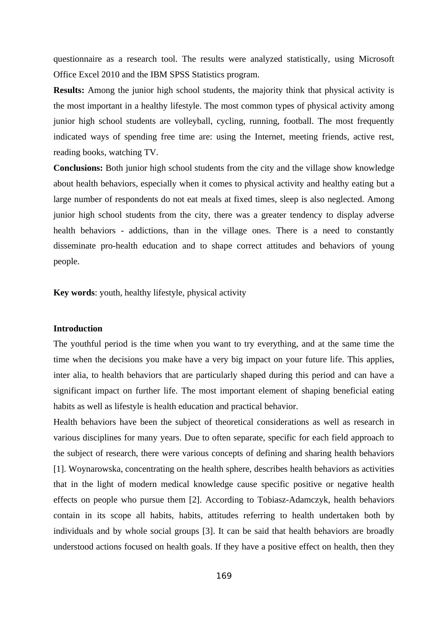questionnaire as a research tool. The results were analyzed statistically, using Microsoft Office Excel 2010 and the IBM SPSS Statistics program.

**Results:** Among the junior high school students, the majority think that physical activity is the most important in a healthy lifestyle. The most common types of physical activity among junior high school students are volleyball, cycling, running, football. The most frequently indicated ways of spending free time are: using the Internet, meeting friends, active rest, reading books, watching TV.

**Conclusions:** Both junior high school students from the city and the village show knowledge about health behaviors, especially when it comes to physical activity and healthy eating but a large number of respondents do not eat meals at fixed times, sleep is also neglected. Among junior high school students from the city, there was a greater tendency to display adverse health behaviors - addictions, than in the village ones. There is a need to constantly disseminate pro-health education and to shape correct attitudes and behaviors of young people.

**Key words**: youth, healthy lifestyle, physical activity

# **Introduction**

The youthful period is the time when you want to try everything, and at the same time the time when the decisions you make have a very big impact on your future life. This applies, inter alia, to health behaviors that are particularly shaped during this period and can have a significant impact on further life. The most important element of shaping beneficial eating habits as well as lifestyle is health education and practical behavior.

Health behaviors have been the subject of theoretical considerations as well as research in various disciplines for many years. Due to often separate, specific for each field approach to the subject of research, there were various concepts of defining and sharing health behaviors [1]. Woynarowska, concentrating on the health sphere, describes health behaviors as activities that in the light of modern medical knowledge cause specific positive or negative health effects on people who pursue them [2]. According to Tobiasz-Adamczyk, health behaviors contain in its scope all habits, habits, attitudes referring to health undertaken both by individuals and by whole social groups [3]. It can be said that health behaviors are broadly understood actions focused on health goals. If they have a positive effect on health, then they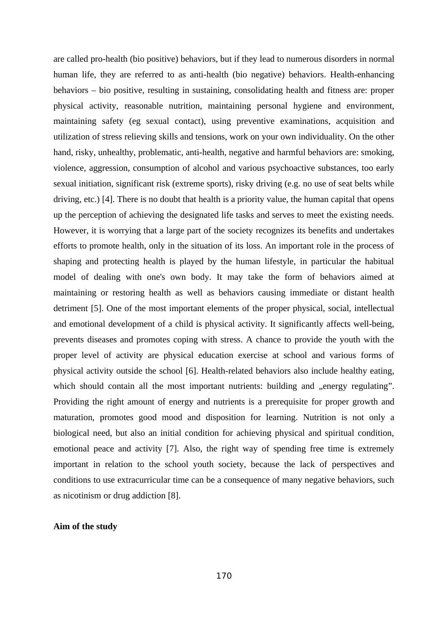are called pro-health (bio positive) behaviors, but if they lead to numerous disorders in normal human life, they are referred to as anti-health (bio negative) behaviors. Health-enhancing behaviors – bio positive, resulting in sustaining, consolidating health and fitness are: proper physical activity, reasonable nutrition, maintaining personal hygiene and environment, maintaining safety (eg sexual contact), using preventive examinations, acquisition and utilization of stress relieving skills and tensions, work on your own individuality. On the other hand, risky, unhealthy, problematic, anti-health, negative and harmful behaviors are: smoking, violence, aggression, consumption of alcohol and various psychoactive substances, too early sexual initiation, significant risk (extreme sports), risky driving (e.g. no use of seat belts while driving, etc.) [4]. There is no doubt that health is a priority value, the human capital that opens up the perception of achieving the designated life tasks and serves to meet the existing needs. However, it is worrying that a large part of the society recognizes its benefits and undertakes efforts to promote health, only in the situation of its loss. An important role in the process of shaping and protecting health is played by the human lifestyle, in particular the habitual model of dealing with one's own body. It may take the form of behaviors aimed at maintaining or restoring health as well as behaviors causing immediate or distant health detriment [5]. One of the most important elements of the proper physical, social, intellectual and emotional development of a child is physical activity. It significantly affects well-being, prevents diseases and promotes coping with stress. A chance to provide the youth with the proper level of activity are physical education exercise at school and various forms of physical activity outside the school [6]. Health-related behaviors also include healthy eating, which should contain all the most important nutrients: building and "energy regulating". Providing the right amount of energy and nutrients is a prerequisite for proper growth and maturation, promotes good mood and disposition for learning. Nutrition is not only a biological need, but also an initial condition for achieving physical and spiritual condition, emotional peace and activity [7]. Also, the right way of spending free time is extremely important in relation to the school youth society, because the lack of perspectives and conditions to use extracurricular time can be a consequence of many negative behaviors, such as nicotinism or drug addiction [8].

# **Aim of the study**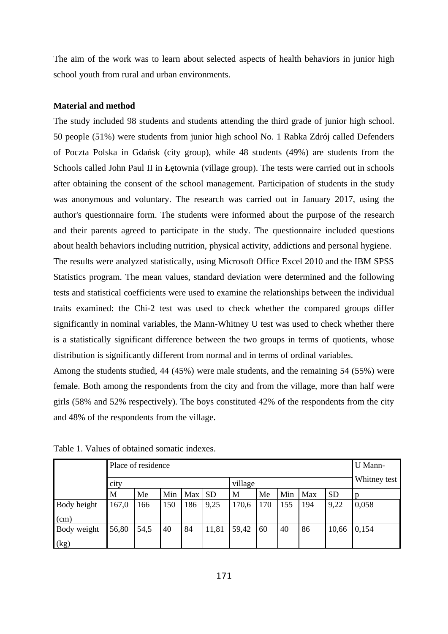The aim of the work was to learn about selected aspects of health behaviors in junior high school youth from rural and urban environments.

### **Material and method**

The study included 98 students and students attending the third grade of junior high school. 50 people (51%) were students from junior high school No. 1 Rabka Zdrój called Defenders of Poczta Polska in Gdańsk (city group), while 48 students (49%) are students from the Schools called John Paul II in Łętownia (village group). The tests were carried out in schools after obtaining the consent of the school management. Participation of students in the study was anonymous and voluntary. The research was carried out in January 2017, using the author's questionnaire form. The students were informed about the purpose of the research and their parents agreed to participate in the study. The questionnaire included questions about health behaviors including nutrition, physical activity, addictions and personal hygiene. The results were analyzed statistically, using Microsoft Office Excel 2010 and the IBM SPSS Statistics program. The mean values, standard deviation were determined and the following tests and statistical coefficients were used to examine the relationships between the individual traits examined: the Chi-2 test was used to check whether the compared groups differ significantly in nominal variables, the Mann-Whitney U test was used to check whether there is a statistically significant difference between the two groups in terms of quotients, whose distribution is significantly different from normal and in terms of ordinal variables.

Among the students studied, 44 (45%) were male students, and the remaining 54 (55%) were female. Both among the respondents from the city and from the village, more than half were girls (58% and 52% respectively). The boys constituted 42% of the respondents from the city and 48% of the respondents from the village.

|             | Place of residence |      |         |     |           |       |     |              |     |           | U Mann- |
|-------------|--------------------|------|---------|-----|-----------|-------|-----|--------------|-----|-----------|---------|
|             | city               |      | village |     |           |       |     | Whitney test |     |           |         |
|             | M                  | Me   | Min     | Max | <b>SD</b> | М     | Me  | Min          | Max | <b>SD</b> | D       |
| Body height | 167,0              | 166  | 150     | 186 | 9,25      | 170,6 | 170 | 155          | 194 | 9,22      | 0,058   |
| (cm)        |                    |      |         |     |           |       |     |              |     |           |         |
| Body weight | 56,80              | 54,5 | 40      | 84  | 11,81     | 59,42 | 60  | 40           | 86  | 10,66     | 0,154   |
| (kg)        |                    |      |         |     |           |       |     |              |     |           |         |

Table 1. Values of obtained somatic indexes.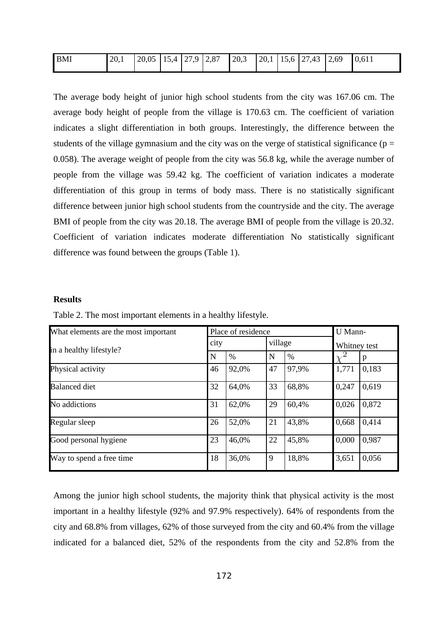| BMI | 20,1 | $\vert 20.05 \vert 15.4 \vert 27.9 \vert 2.87$ |  | 20,3 |  | $\vert 20,1 \vert 15,6 \vert 27,43 \vert 2,69 \vert$ | 0,611 |
|-----|------|------------------------------------------------|--|------|--|------------------------------------------------------|-------|
|     |      |                                                |  |      |  |                                                      |       |

The average body height of junior high school students from the city was 167.06 cm. The average body height of people from the village is 170.63 cm. The coefficient of variation indicates a slight differentiation in both groups. Interestingly, the difference between the students of the village gymnasium and the city was on the verge of statistical significance ( $p =$ 0.058). The average weight of people from the city was 56.8 kg, while the average number of people from the village was 59.42 kg. The coefficient of variation indicates a moderate differentiation of this group in terms of body mass. There is no statistically significant difference between junior high school students from the countryside and the city. The average BMI of people from the city was 20.18. The average BMI of people from the village is 20.32. Coefficient of variation indicates moderate differentiation No statistically significant difference was found between the groups (Table 1).

#### **Results**

| What elements are the most important |      | Place of residence | U Mann- |       |              |       |
|--------------------------------------|------|--------------------|---------|-------|--------------|-------|
| in a healthy lifestyle?              | city |                    | village |       | Whitney test |       |
|                                      | N    | $\%$               | N       | $\%$  |              |       |
| Physical activity                    | 46   | 92,0%              | 47      | 97,9% | 1,771        | 0,183 |
| <b>Balanced diet</b>                 | 32   | 64,0%              | 33      | 68,8% | 0,247        | 0,619 |
| No addictions                        | 31   | 62,0%              | 29      | 60,4% | 0,026        | 0,872 |
| Regular sleep                        | 26   | 52,0%              | 21      | 43,8% | 0,668        | 0,414 |
| Good personal hygiene                | 23   | 46,0%              | 22      | 45,8% | 0,000        | 0,987 |
| Way to spend a free time             | 18   | 36,0%              | 9       | 18,8% | 3,651        | 0,056 |

Table 2. The most important elements in a healthy lifestyle.

Among the junior high school students, the majority think that physical activity is the most important in a healthy lifestyle (92% and 97.9% respectively). 64% of respondents from the city and 68.8% from villages, 62% of those surveyed from the city and 60.4% from the village indicated for a balanced diet, 52% of the respondents from the city and 52.8% from the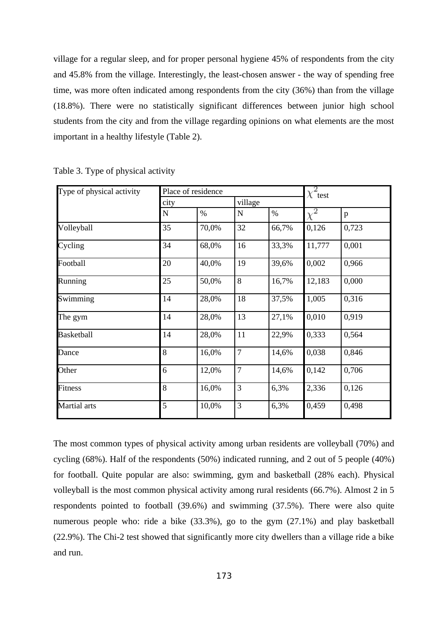village for a regular sleep, and for proper personal hygiene 45% of respondents from the city and 45.8% from the village. Interestingly, the least-chosen answer - the way of spending free time, was more often indicated among respondents from the city (36%) than from the village (18.8%). There were no statistically significant differences between junior high school students from the city and from the village regarding opinions on what elements are the most important in a healthy lifestyle (Table 2).

| Type of physical activity | Place of residence |       | $\chi^2$ test |       |          |       |  |
|---------------------------|--------------------|-------|---------------|-------|----------|-------|--|
|                           | city               |       | village       |       |          |       |  |
|                           | N                  | $\%$  | $\mathbf N$   | $\%$  | $\chi^2$ | p     |  |
| Volleyball                | 35                 | 70,0% | 32            | 66,7% | 0,126    | 0,723 |  |
| Cycling                   | 34                 | 68,0% | 16            | 33,3% | 11,777   | 0,001 |  |
| Football                  | 20                 | 40,0% | 19            | 39,6% | 0,002    | 0,966 |  |
| Running                   | 25                 | 50,0% | 8             | 16,7% | 12,183   | 0,000 |  |
| Swimming                  | 14                 | 28,0% | 18            | 37,5% | 1,005    | 0,316 |  |
| The gym                   | 14                 | 28,0% | 13            | 27,1% | 0,010    | 0,919 |  |
| <b>Basketball</b>         | 14                 | 28,0% | 11            | 22,9% | 0,333    | 0,564 |  |
| Dance                     | 8                  | 16,0% | 7             | 14,6% | 0,038    | 0,846 |  |
| Other                     | 6                  | 12,0% | 7             | 14,6% | 0,142    | 0,706 |  |
| <b>Fitness</b>            | 8                  | 16,0% | 3             | 6,3%  | 2,336    | 0,126 |  |
| Martial arts              | 5                  | 10,0% | 3             | 6,3%  | 0,459    | 0,498 |  |

Table 3. Type of physical activity

The most common types of physical activity among urban residents are volleyball (70%) and cycling (68%). Half of the respondents (50%) indicated running, and 2 out of 5 people (40%) for football. Quite popular are also: swimming, gym and basketball (28% each). Physical volleyball is the most common physical activity among rural residents (66.7%). Almost 2 in 5 respondents pointed to football (39.6%) and swimming (37.5%). There were also quite numerous people who: ride a bike (33.3%), go to the gym (27.1%) and play basketball (22.9%). The Chi-2 test showed that significantly more city dwellers than a village ride a bike and run.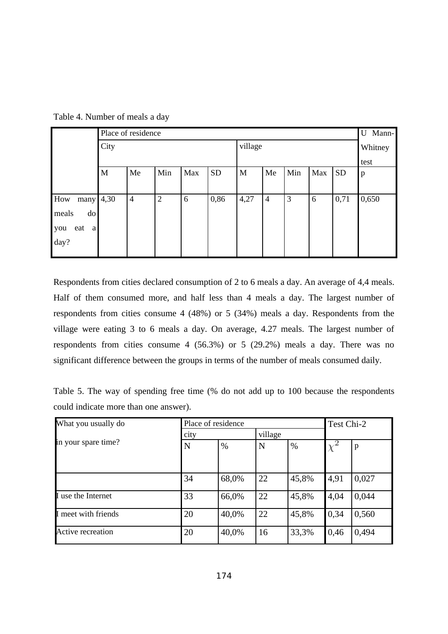|                     | Place of residence |                |                |     |           |             |                |     |     |           |              |
|---------------------|--------------------|----------------|----------------|-----|-----------|-------------|----------------|-----|-----|-----------|--------------|
|                     | City               |                |                |     |           | village     |                |     |     |           | Whitney      |
|                     |                    |                |                |     |           |             |                |     |     |           | test         |
|                     | M                  | Me             | Min            | Max | <b>SD</b> | $\mathbf M$ | Me             | Min | Max | <b>SD</b> | $\, {\bf p}$ |
|                     |                    |                |                |     |           |             |                |     |     |           |              |
| many $ 4,30$<br>How |                    | $\overline{4}$ | $\overline{2}$ | 6   | 0,86      | 4,27        | $\overline{4}$ | 3   | 6   | 0,71      | 0,650        |
| do<br>meals         |                    |                |                |     |           |             |                |     |     |           |              |
| eat<br> a <br>you   |                    |                |                |     |           |             |                |     |     |           |              |
| day?                |                    |                |                |     |           |             |                |     |     |           |              |
|                     |                    |                |                |     |           |             |                |     |     |           |              |

Table 4. Number of meals a day

Respondents from cities declared consumption of 2 to 6 meals a day. An average of 4,4 meals. Half of them consumed more, and half less than 4 meals a day. The largest number of respondents from cities consume 4 (48%) or 5 (34%) meals a day. Respondents from the village were eating 3 to 6 meals a day. On average, 4.27 meals. The largest number of respondents from cities consume 4 (56.3%) or 5 (29.2%) meals a day. There was no significant difference between the groups in terms of the number of meals consumed daily.

Table 5. The way of spending free time (% do not add up to 100 because the respondents could indicate more than one answer).

| What you usually do      | Place of residence |       | Test Chi-2 |       |      |              |  |
|--------------------------|--------------------|-------|------------|-------|------|--------------|--|
|                          | city               |       | village    |       |      |              |  |
| in your spare time?      | $\mathbf N$        | $\%$  | N          | $\%$  | X    | $\mathbf{p}$ |  |
|                          |                    |       |            |       |      |              |  |
|                          |                    |       |            |       |      |              |  |
|                          | 34                 | 68,0% | 22         | 45,8% | 4,91 | 0,027        |  |
| I use the Internet       | 33                 | 66,0% | 22         | 45,8% | 4,04 | 0,044        |  |
| I meet with friends      | 20                 | 40,0% | 22         | 45,8% | 0,34 | 0,560        |  |
| <b>Active recreation</b> | 20                 | 40,0% | 16         | 33,3% | 0,46 | 0,494        |  |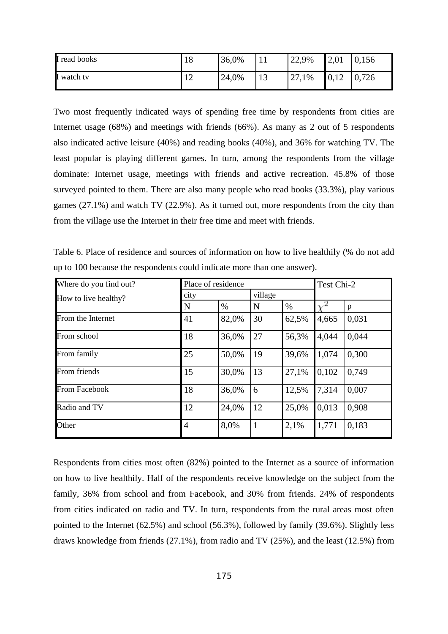| I read books | 18           | 36,0% | 11<br>┸┸  | 22,9%       | 2,01 | 0,156      |
|--------------|--------------|-------|-----------|-------------|------|------------|
| I watch tv   | n<br>1<br>ᅩᄼ | 24,0% | 1 D<br>⊥∪ | つワ<br>27,1% | 0,12 | ,726<br>v. |

Two most frequently indicated ways of spending free time by respondents from cities are Internet usage (68%) and meetings with friends (66%). As many as 2 out of 5 respondents also indicated active leisure (40%) and reading books (40%), and 36% for watching TV. The least popular is playing different games. In turn, among the respondents from the village dominate: Internet usage, meetings with friends and active recreation. 45.8% of those surveyed pointed to them. There are also many people who read books (33.3%), play various games (27.1%) and watch TV (22.9%). As it turned out, more respondents from the city than from the village use the Internet in their free time and meet with friends.

Table 6. Place of residence and sources of information on how to live healthily (% do not add up to 100 because the respondents could indicate more than one answer).

| Where do you find out? | Place of residence |       | Test Chi-2   |       |       |       |
|------------------------|--------------------|-------|--------------|-------|-------|-------|
| How to live healthy?   | city               |       | village      |       |       |       |
|                        | $\mathbf N$        | $\%$  | N            | $\%$  |       | p     |
| From the Internet      | 41                 | 82,0% | 30           | 62,5% | 4,665 | 0,031 |
| From school            | 18                 | 36,0% | 27           | 56,3% | 4,044 | 0,044 |
| From family            | 25                 | 50,0% | 19           | 39,6% | 1,074 | 0,300 |
| From friends           | 15                 | 30,0% | 13           | 27,1% | 0,102 | 0,749 |
| From Facebook          | 18                 | 36,0% | 6            | 12,5% | 7,314 | 0,007 |
| Radio and TV           | 12                 | 24,0% | 12           | 25,0% | 0,013 | 0,908 |
| Other                  | $\overline{4}$     | 8,0%  | $\mathbf{1}$ | 2,1%  | 1,771 | 0,183 |

Respondents from cities most often (82%) pointed to the Internet as a source of information on how to live healthily. Half of the respondents receive knowledge on the subject from the family, 36% from school and from Facebook, and 30% from friends. 24% of respondents from cities indicated on radio and TV. In turn, respondents from the rural areas most often pointed to the Internet (62.5%) and school (56.3%), followed by family (39.6%). Slightly less draws knowledge from friends (27.1%), from radio and TV (25%), and the least (12.5%) from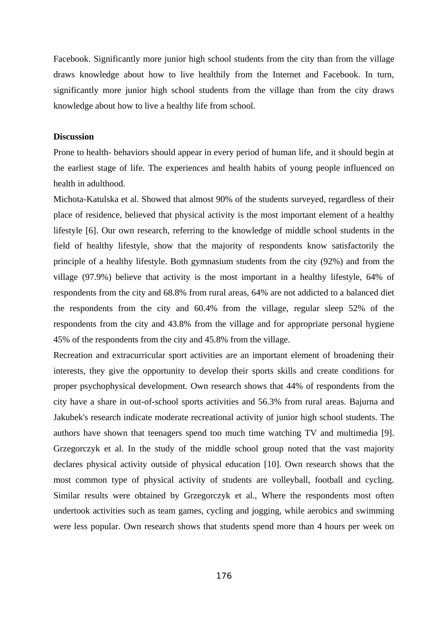Facebook. Significantly more junior high school students from the city than from the village draws knowledge about how to live healthily from the Internet and Facebook. In turn, significantly more junior high school students from the village than from the city draws knowledge about how to live a healthy life from school.

# **Discussion**

Prone to health- behaviors should appear in every period of human life, and it should begin at the earliest stage of life. The experiences and health habits of young people influenced on health in adulthood.

Michota-Katulska et al. Showed that almost 90% of the students surveyed, regardless of their place of residence, believed that physical activity is the most important element of a healthy lifestyle [6]. Our own research, referring to the knowledge of middle school students in the field of healthy lifestyle, show that the majority of respondents know satisfactorily the principle of a healthy lifestyle. Both gymnasium students from the city (92%) and from the village (97.9%) believe that activity is the most important in a healthy lifestyle, 64% of respondents from the city and 68.8% from rural areas, 64% are not addicted to a balanced diet the respondents from the city and 60.4% from the village, regular sleep 52% of the respondents from the city and 43.8% from the village and for appropriate personal hygiene 45% of the respondents from the city and 45.8% from the village.

Recreation and extracurricular sport activities are an important element of broadening their interests, they give the opportunity to develop their sports skills and create conditions for proper psychophysical development. Own research shows that 44% of respondents from the city have a share in out-of-school sports activities and 56.3% from rural areas. Bajurna and Jakubek's research indicate moderate recreational activity of junior high school students. The authors have shown that teenagers spend too much time watching TV and multimedia [9]. Grzegorczyk et al. In the study of the middle school group noted that the vast majority declares physical activity outside of physical education [10]. Own research shows that the most common type of physical activity of students are volleyball, football and cycling. Similar results were obtained by Grzegorczyk et al., Where the respondents most often undertook activities such as team games, cycling and jogging, while aerobics and swimming were less popular. Own research shows that students spend more than 4 hours per week on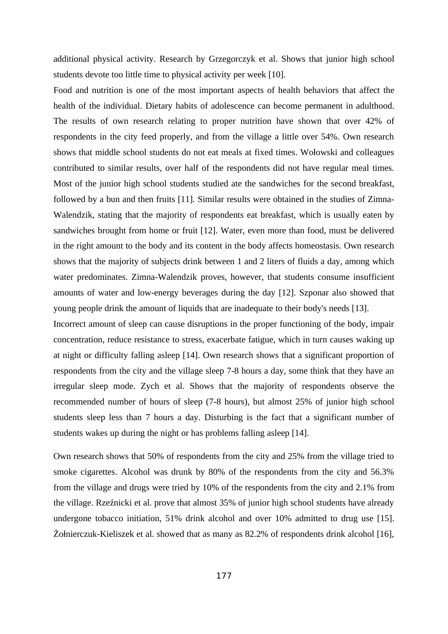additional physical activity. Research by Grzegorczyk et al. Shows that junior high school students devote too little time to physical activity per week [10].

Food and nutrition is one of the most important aspects of health behaviors that affect the health of the individual. Dietary habits of adolescence can become permanent in adulthood. The results of own research relating to proper nutrition have shown that over 42% of respondents in the city feed properly, and from the village a little over 54%. Own research shows that middle school students do not eat meals at fixed times. Wołowski and colleagues contributed to similar results, over half of the respondents did not have regular meal times. Most of the junior high school students studied ate the sandwiches for the second breakfast, followed by a bun and then fruits [11]. Similar results were obtained in the studies of Zimna-Walendzik, stating that the majority of respondents eat breakfast, which is usually eaten by sandwiches brought from home or fruit [12]. Water, even more than food, must be delivered in the right amount to the body and its content in the body affects homeostasis. Own research shows that the majority of subjects drink between 1 and 2 liters of fluids a day, among which water predominates. Zimna-Walendzik proves, however, that students consume insufficient amounts of water and low-energy beverages during the day [12]. Szponar also showed that young people drink the amount of liquids that are inadequate to their body's needs [13].

Incorrect amount of sleep can cause disruptions in the proper functioning of the body, impair concentration, reduce resistance to stress, exacerbate fatigue, which in turn causes waking up at night or difficulty falling asleep [14]. Own research shows that a significant proportion of respondents from the city and the village sleep 7-8 hours a day, some think that they have an irregular sleep mode. Zych et al. Shows that the majority of respondents observe the recommended number of hours of sleep (7-8 hours), but almost 25% of junior high school students sleep less than 7 hours a day. Disturbing is the fact that a significant number of students wakes up during the night or has problems falling asleep [14].

Own research shows that 50% of respondents from the city and 25% from the village tried to smoke cigarettes. Alcohol was drunk by 80% of the respondents from the city and 56.3% from the village and drugs were tried by 10% of the respondents from the city and 2.1% from the village. Rzeźnicki et al. prove that almost 35% of junior high school students have already undergone tobacco initiation, 51% drink alcohol and over 10% admitted to drug use [15]. Żołnierczuk-Kieliszek et al. showed that as many as 82.2% of respondents drink alcohol [16],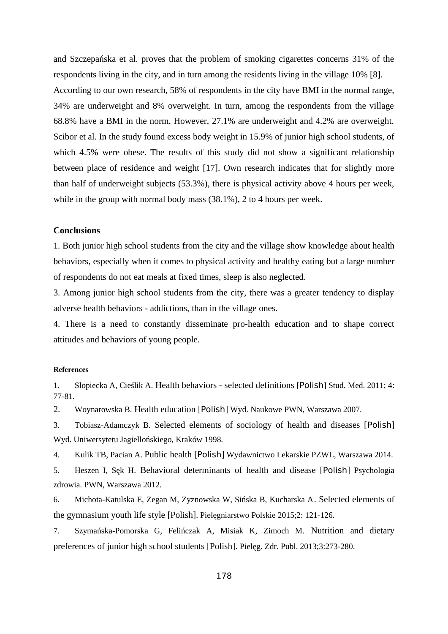and Szczepańska et al. proves that the problem of smoking cigarettes concerns 31% of the respondents living in the city, and in turn among the residents living in the village 10% [8]. According to our own research, 58% of respondents in the city have BMI in the normal range, 34% are underweight and 8% overweight. In turn, among the respondents from the village 68.8% have a BMI in the norm. However, 27.1% are underweight and 4.2% are overweight. Scibor et al. In the study found excess body weight in 15.9% of junior high school students, of which 4.5% were obese. The results of this study did not show a significant relationship between place of residence and weight [17]. Own research indicates that for slightly more than half of underweight subjects (53.3%), there is physical activity above 4 hours per week, while in the group with normal body mass (38.1%), 2 to 4 hours per week.

# **Conclusions**

1. Both junior high school students from the city and the village show knowledge about health behaviors, especially when it comes to physical activity and healthy eating but a large number of respondents do not eat meals at fixed times, sleep is also neglected.

3. Among junior high school students from the city, there was a greater tendency to display adverse health behaviors - addictions, than in the village ones.

4. There is a need to constantly disseminate pro-health education and to shape correct attitudes and behaviors of young people.

#### **References**

1. Słopiecka A, Cieślik A. Health behaviors - selected definitions [Polish] Stud. Med. 2011; 4: 77-81.

2. Woynarowska B. Health education [Polish] Wyd. Naukowe PWN, Warszawa 2007.

3. Tobiasz-Adamczyk B. Selected elements of sociology of health and diseases [Polish] Wyd. Uniwersytetu Jagiellońskiego, Kraków 1998.

4. Kulik TB, Pacian A. Public health [Polish] Wydawnictwo Lekarskie PZWL, Warszawa 2014.

5. Heszen I, Sęk H. Behavioral determinants of health and disease [Polish] Psychologia zdrowia. PWN, Warszawa 2012.

6. Michota-Katulska E, Zegan M, Zyznowska W, Sińska B, Kucharska A. Selected elements of the gymnasium youth life style [Polish]. Pielęgniarstwo Polskie 2015;2: 121-126.

7. Szymańska-Pomorska G, Felińczak A, Misiak K, Zimoch M. Nutrition and dietary preferences of junior high school students [Polish]. Pielęg. Zdr. Publ. 2013;3:273-280.